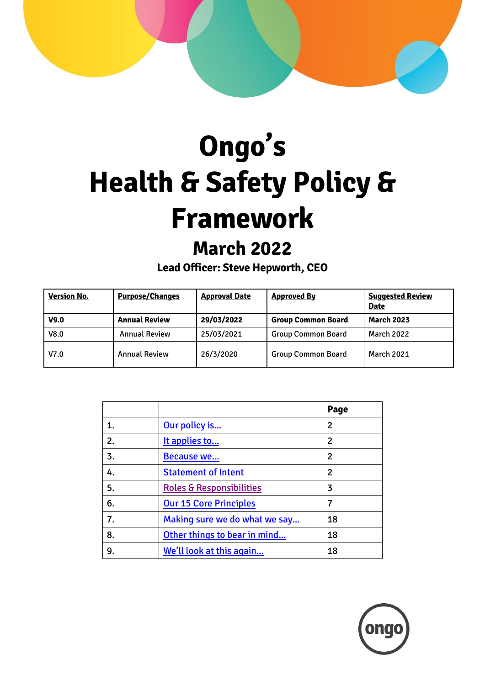

# **Ongo's Health & Safety Policy & Framework March 2022**

**Lead Officer: Steve Hepworth, CEO**

**Version No.** Purpose/Changes | Approval Date | Approved By | Suggested Review **Date V9.0 Annual Review 29/03/2022 Group Common Board March 2023** V8.0 Annual Review 25/03/2021 Group Common Board March 2022 V7.0 Annual Review 26/3/2020 Group Common Board March 2021

|    |                                     | Page           |
|----|-------------------------------------|----------------|
| 1. | Our policy is                       | 2              |
| 2. | It applies to                       | $\mathfrak{p}$ |
| 3. | Because we                          | 2              |
| 4. | <b>Statement of Intent</b>          | 2              |
| 5. | <b>Roles &amp; Responsibilities</b> | 3              |
| 6. | <b>Our 15 Core Principles</b>       | 7              |
| 7. | Making sure we do what we say       | 18             |
| 8. | Other things to bear in mind        | 18             |
| 9. | We'll look at this again            | 18             |

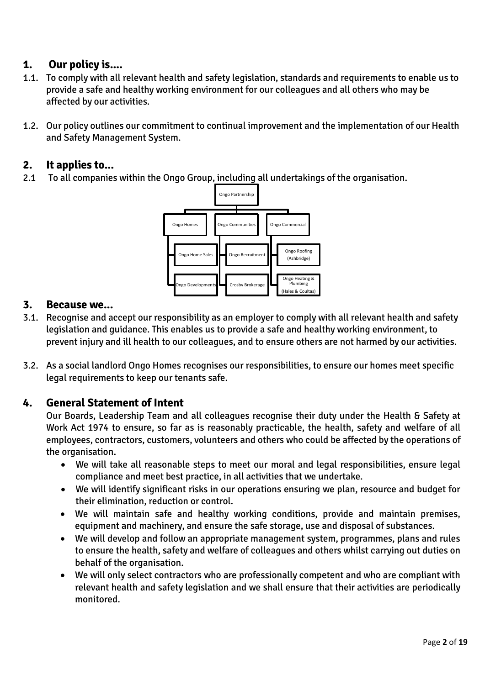# <span id="page-1-0"></span>**1. Our policy is....**

- 1.1. To comply with all relevant health and safety legislation, standards and requirements to enable us to provide a safe and healthy working environment for our colleagues and all others who may be affected by our activities.
- 1.2. Our policy outlines our commitment to continual improvement and the implementation of our Health and Safety Management System.

# <span id="page-1-1"></span>**2. It applies to...**

2.1 To all companies within the Ongo Group, including all undertakings of the organisation.



#### <span id="page-1-2"></span>**3. Because we...**

- 3.1. Recognise and accept our responsibility as an employer to comply with all relevant health and safety legislation and guidance. This enables us to provide a safe and healthy working environment, to prevent injury and ill health to our colleagues, and to ensure others are not harmed by our activities.
- 3.2. As a social landlord Ongo Homes recognises our responsibilities, to ensure our homes meet specific legal requirements to keep our tenants safe.

# <span id="page-1-3"></span>**4. General Statement of Intent**

Our Boards, Leadership Team and all colleagues recognise their duty under the Health & Safety at Work Act 1974 to ensure, so far as is reasonably practicable, the health, safety and welfare of all employees, contractors, customers, volunteers and others who could be affected by the operations of the organisation.

- We will take all reasonable steps to meet our moral and legal responsibilities, ensure legal compliance and meet best practice, in all activities that we undertake.
- We will identify significant risks in our operations ensuring we plan, resource and budget for their elimination, reduction or control.
- We will maintain safe and healthy working conditions, provide and maintain premises, equipment and machinery, and ensure the safe storage, use and disposal of substances.
- We will develop and follow an appropriate management system, programmes, plans and rules to ensure the health, safety and welfare of colleagues and others whilst carrying out duties on behalf of the organisation.
- We will only select contractors who are professionally competent and who are compliant with relevant health and safety legislation and we shall ensure that their activities are periodically monitored.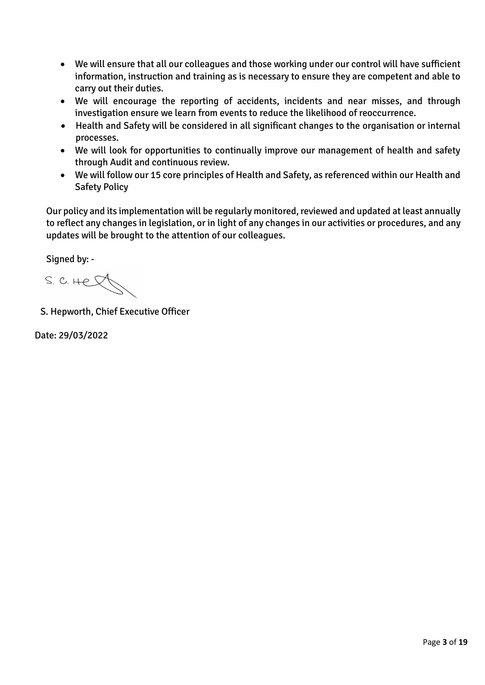- We will ensure that all our colleagues and those working under our control will have sufficient information, instruction and training as is necessary to ensure they are competent and able to carry out their duties.
- We will encourage the reporting of accidents, incidents and near misses, and through investigation ensure we learn from events to reduce the likelihood of reoccurrence.
- Health and Safety will be considered in all significant changes to the organisation or internal processes.
- We will look for opportunities to continually improve our management of health and safety through Audit and continuous review.
- We will follow our 15 core principles of Health and Safety, as referenced within our Health and Safety Policy

Our policy and its implementation will be regularly monitored, reviewed and updated at least annually to reflect any changes in legislation, or in light of any changes in our activities or procedures, and any updates will be brought to the attention of our colleagues.

Signed by: -

 $S.$  C. He  $R$ 

S. Hepworth, Chief Executive Officer

<span id="page-2-0"></span>Date: 29/03/2022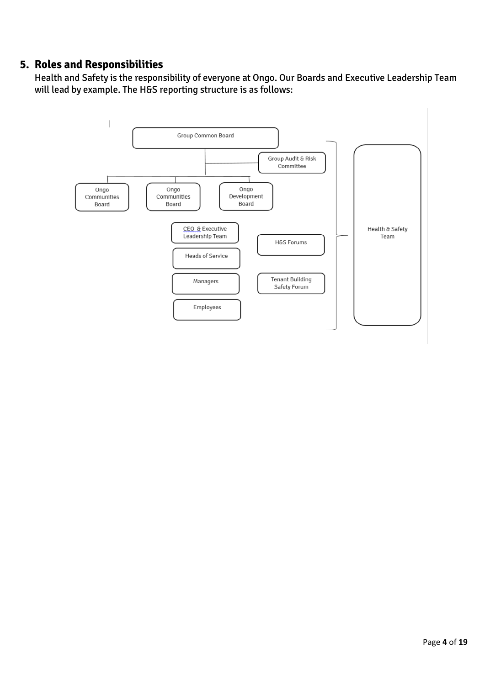# **5. Roles and Responsibilities**

Health and Safety is the responsibility of everyone at Ongo. Our Boards and Executive Leadership Team will lead by example. The H&S reporting structure is as follows:

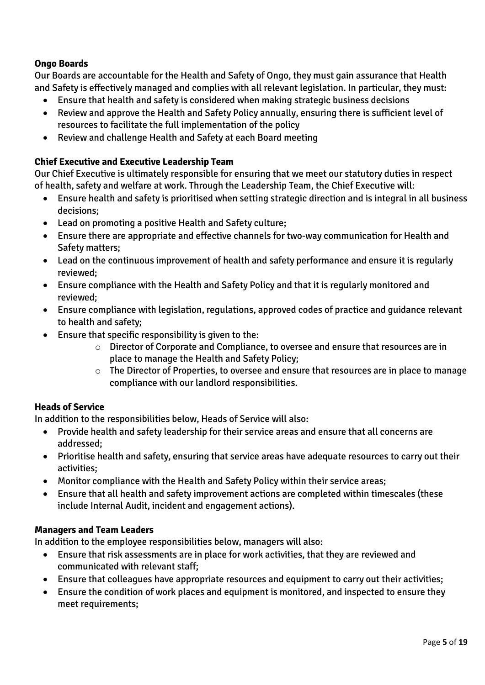# **Ongo Boards**

Our Boards are accountable for the Health and Safety of Ongo, they must gain assurance that Health and Safety is effectively managed and complies with all relevant legislation. In particular, they must:

- Ensure that health and safety is considered when making strategic business decisions
- Review and approve the Health and Safety Policy annually, ensuring there is sufficient level of resources to facilitate the full implementation of the policy
- Review and challenge Health and Safety at each Board meeting

#### **Chief Executive and Executive Leadership Team**

Our Chief Executive is ultimately responsible for ensuring that we meet our statutory duties in respect of health, safety and welfare at work. Through the Leadership Team, the Chief Executive will:

- Ensure health and safety is prioritised when setting strategic direction and is integral in all business decisions;
- Lead on promoting a positive Health and Safety culture;
- Ensure there are appropriate and effective channels for two-way communication for Health and Safety matters;
- Lead on the continuous improvement of health and safety performance and ensure it is regularly reviewed;
- Ensure compliance with the Health and Safety Policy and that it is regularly monitored and reviewed;
- Ensure compliance with legislation, regulations, approved codes of practice and guidance relevant to health and safety;
- Ensure that specific responsibility is given to the:
	- o Director of Corporate and Compliance, to oversee and ensure that resources are in place to manage the Health and Safety Policy;
	- o The Director of Properties, to oversee and ensure that resources are in place to manage compliance with our landlord responsibilities.

# **Heads of Service**

In addition to the responsibilities below, Heads of Service will also:

- Provide health and safety leadership for their service areas and ensure that all concerns are addressed;
- Prioritise health and safety, ensuring that service areas have adequate resources to carry out their activities;
- Monitor compliance with the Health and Safety Policy within their service areas;
- Ensure that all health and safety improvement actions are completed within timescales (these include Internal Audit, incident and engagement actions).

# **Managers and Team Leaders**

In addition to the employee responsibilities below, managers will also:

- Ensure that risk assessments are in place for work activities, that they are reviewed and communicated with relevant staff;
- Ensure that colleagues have appropriate resources and equipment to carry out their activities;
- Ensure the condition of work places and equipment is monitored, and inspected to ensure they meet requirements;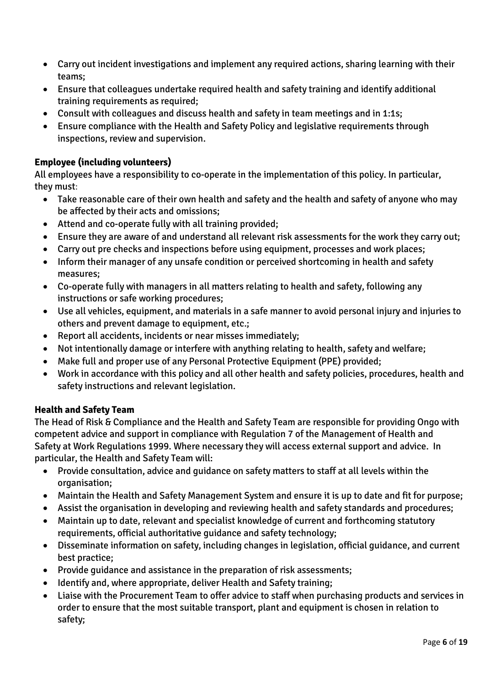- Carry out incident investigations and implement any required actions, sharing learning with their teams;
- Ensure that colleagues undertake required health and safety training and identify additional training requirements as required;
- Consult with colleagues and discuss health and safety in team meetings and in 1:1s;
- Ensure compliance with the Health and Safety Policy and legislative requirements through inspections, review and supervision.

#### **Employee (including volunteers)**

All employees have a responsibility to co-operate in the implementation of this policy. In particular, they must:

- Take reasonable care of their own health and safety and the health and safety of anyone who may be affected by their acts and omissions;
- Attend and co-operate fully with all training provided;
- Ensure they are aware of and understand all relevant risk assessments for the work they carry out;
- Carry out pre checks and inspections before using equipment, processes and work places;
- Inform their manager of any unsafe condition or perceived shortcoming in health and safety measures;
- Co-operate fully with managers in all matters relating to health and safety, following any instructions or safe working procedures;
- Use all vehicles, equipment, and materials in a safe manner to avoid personal injury and injuries to others and prevent damage to equipment, etc.;
- Report all accidents, incidents or near misses immediately;
- Not intentionally damage or interfere with anything relating to health, safety and welfare;
- Make full and proper use of any Personal Protective Equipment (PPE) provided;
- Work in accordance with this policy and all other health and safety policies, procedures, health and safety instructions and relevant legislation.

# **Health and Safety Team**

The Head of Risk & Compliance and the Health and Safety Team are responsible for providing Ongo with competent advice and support in compliance with Regulation 7 of the Management of Health and Safety at Work Regulations 1999. Where necessary they will access external support and advice. In particular, the Health and Safety Team will:

- Provide consultation, advice and guidance on safety matters to staff at all levels within the organisation;
- Maintain the Health and Safety Management System and ensure it is up to date and fit for purpose;
- Assist the organisation in developing and reviewing health and safety standards and procedures;
- Maintain up to date, relevant and specialist knowledge of current and forthcoming statutory requirements, official authoritative guidance and safety technology;
- Disseminate information on safety, including changes in legislation, official guidance, and current best practice;
- Provide guidance and assistance in the preparation of risk assessments;
- Identify and, where appropriate, deliver Health and Safety training;
- Liaise with the Procurement Team to offer advice to staff when purchasing products and services in order to ensure that the most suitable transport, plant and equipment is chosen in relation to safety;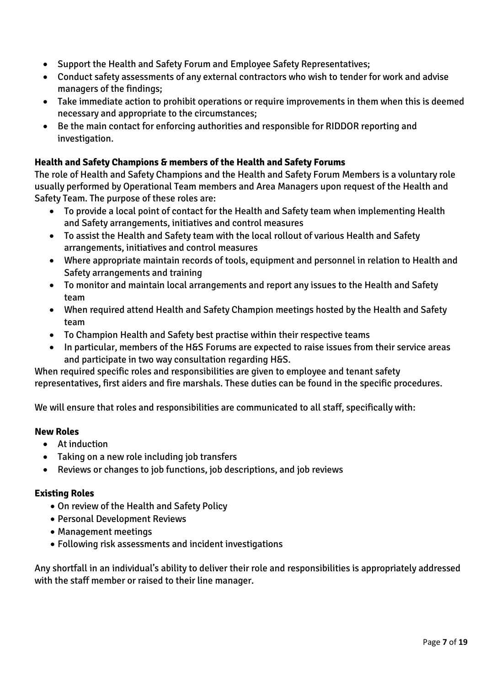- Support the Health and Safety Forum and Employee Safety Representatives;
- Conduct safety assessments of any external contractors who wish to tender for work and advise managers of the findings;
- Take immediate action to prohibit operations or require improvements in them when this is deemed necessary and appropriate to the circumstances;
- Be the main contact for enforcing authorities and responsible for RIDDOR reporting and investigation.

# **Health and Safety Champions & members of the Health and Safety Forums**

The role of Health and Safety Champions and the Health and Safety Forum Members is a voluntary role usually performed by Operational Team members and Area Managers upon request of the Health and Safety Team. The purpose of these roles are:

- To provide a local point of contact for the Health and Safety team when implementing Health and Safety arrangements, initiatives and control measures
- To assist the Health and Safety team with the local rollout of various Health and Safety arrangements, initiatives and control measures
- Where appropriate maintain records of tools, equipment and personnel in relation to Health and Safety arrangements and training
- To monitor and maintain local arrangements and report any issues to the Health and Safety team
- When required attend Health and Safety Champion meetings hosted by the Health and Safety team
- To Champion Health and Safety best practise within their respective teams
- In particular, members of the H&S Forums are expected to raise issues from their service areas and participate in two way consultation regarding H&S.

When required specific roles and responsibilities are given to employee and tenant safety representatives, first aiders and fire marshals. These duties can be found in the specific procedures.

We will ensure that roles and responsibilities are communicated to all staff, specifically with:

#### **New Roles**

- At induction
- Taking on a new role including job transfers
- Reviews or changes to job functions, job descriptions, and job reviews

#### **Existing Roles**

- On review of the Health and Safety Policy
- Personal Development Reviews
- Management meetings
- Following risk assessments and incident investigations

Any shortfall in an individual's ability to deliver their role and responsibilities is appropriately addressed with the staff member or raised to their line manager.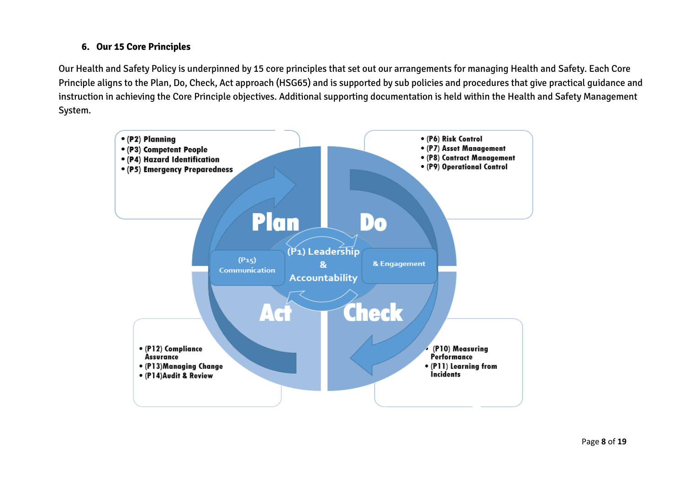#### **6. Our 15 Core Principles**

Our Health and Safety Policy is underpinned by 15 core principles that set out our arrangements for managing Health and Safety. Each Core Principle aligns to the Plan, Do, Check, Act approach (HSG65) and is supported by sub policies and procedures that give practical guidance and instruction in achieving the Core Principle objectives. Additional supporting documentation is held within the Health and Safety Management System.

<span id="page-7-0"></span>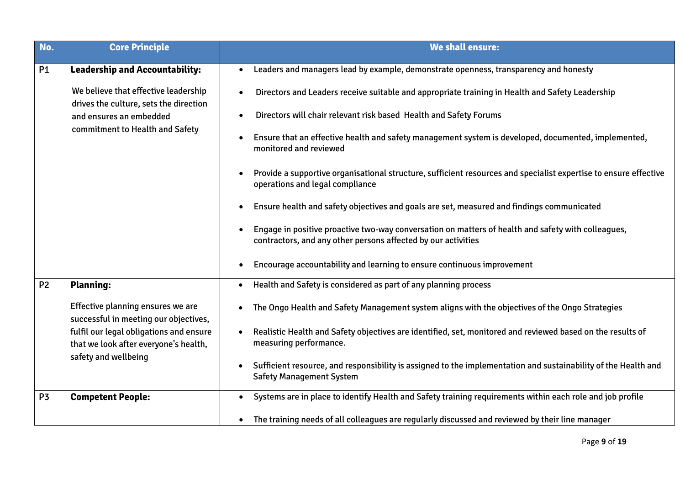| No.       | <b>Core Principle</b>                                                            | We shall ensure:                                                                                                                                                    |
|-----------|----------------------------------------------------------------------------------|---------------------------------------------------------------------------------------------------------------------------------------------------------------------|
| <b>P1</b> | <b>Leadership and Accountability:</b>                                            | Leaders and managers lead by example, demonstrate openness, transparency and honesty                                                                                |
|           | We believe that effective leadership                                             | Directors and Leaders receive suitable and appropriate training in Health and Safety Leadership                                                                     |
|           | drives the culture, sets the direction<br>and ensures an embedded                | Directors will chair relevant risk based Health and Safety Forums                                                                                                   |
|           | commitment to Health and Safety                                                  | Ensure that an effective health and safety management system is developed, documented, implemented,<br>monitored and reviewed                                       |
|           |                                                                                  | Provide a supportive organisational structure, sufficient resources and specialist expertise to ensure effective<br>operations and legal compliance                 |
|           |                                                                                  | Ensure health and safety objectives and goals are set, measured and findings communicated                                                                           |
|           |                                                                                  | Engage in positive proactive two-way conversation on matters of health and safety with colleagues,<br>contractors, and any other persons affected by our activities |
|           |                                                                                  | Encourage accountability and learning to ensure continuous improvement                                                                                              |
| <b>P2</b> | <b>Planning:</b>                                                                 | Health and Safety is considered as part of any planning process                                                                                                     |
|           | Effective planning ensures we are<br>successful in meeting our objectives,       | The Ongo Health and Safety Management system aligns with the objectives of the Ongo Strategies                                                                      |
|           | fulfil our legal obligations and ensure<br>that we look after everyone's health, | Realistic Health and Safety objectives are identified, set, monitored and reviewed based on the results of<br>measuring performance.                                |
|           | safety and wellbeing                                                             | Sufficient resource, and responsibility is assigned to the implementation and sustainability of the Health and<br><b>Safety Management System</b>                   |
| <b>P3</b> | <b>Competent People:</b>                                                         | Systems are in place to identify Health and Safety training requirements within each role and job profile<br>$\bullet$                                              |
|           |                                                                                  | The training needs of all colleagues are regularly discussed and reviewed by their line manager                                                                     |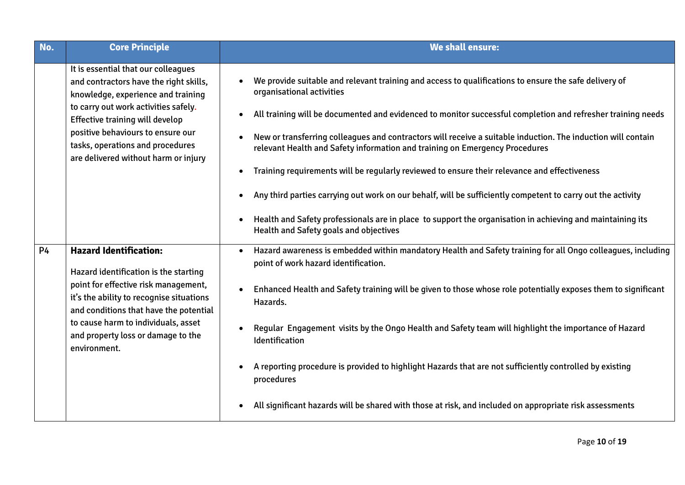| No.       | <b>Core Principle</b>                                                                                                                                                                                                                                                                                           | <b>We shall ensure:</b>                                                                                                                                                                                                                                                                                                                                                                                                                                                                                                                                                                                                                                                                                                                                                                                                       |
|-----------|-----------------------------------------------------------------------------------------------------------------------------------------------------------------------------------------------------------------------------------------------------------------------------------------------------------------|-------------------------------------------------------------------------------------------------------------------------------------------------------------------------------------------------------------------------------------------------------------------------------------------------------------------------------------------------------------------------------------------------------------------------------------------------------------------------------------------------------------------------------------------------------------------------------------------------------------------------------------------------------------------------------------------------------------------------------------------------------------------------------------------------------------------------------|
|           | It is essential that our colleagues<br>and contractors have the right skills,<br>knowledge, experience and training<br>to carry out work activities safely.<br>Effective training will develop<br>positive behaviours to ensure our<br>tasks, operations and procedures<br>are delivered without harm or injury | We provide suitable and relevant training and access to qualifications to ensure the safe delivery of<br>organisational activities<br>All training will be documented and evidenced to monitor successful completion and refresher training needs<br>New or transferring colleagues and contractors will receive a suitable induction. The induction will contain<br>relevant Health and Safety information and training on Emergency Procedures<br>Training requirements will be regularly reviewed to ensure their relevance and effectiveness<br>Any third parties carrying out work on our behalf, will be sufficiently competent to carry out the activity<br>Health and Safety professionals are in place to support the organisation in achieving and maintaining its<br><b>Health and Safety goals and objectives</b> |
| <b>P4</b> | <b>Hazard Identification:</b><br>Hazard identification is the starting<br>point for effective risk management,<br>it's the ability to recognise situations<br>and conditions that have the potential<br>to cause harm to individuals, asset<br>and property loss or damage to the<br>environment.               | Hazard awareness is embedded within mandatory Health and Safety training for all Ongo colleagues, including<br>point of work hazard identification.<br>Enhanced Health and Safety training will be given to those whose role potentially exposes them to significant<br>Hazards.<br>Regular Engagement visits by the Ongo Health and Safety team will highlight the importance of Hazard<br>Identification<br>A reporting procedure is provided to highlight Hazards that are not sufficiently controlled by existing<br>procedures<br>All significant hazards will be shared with those at risk, and included on appropriate risk assessments                                                                                                                                                                                |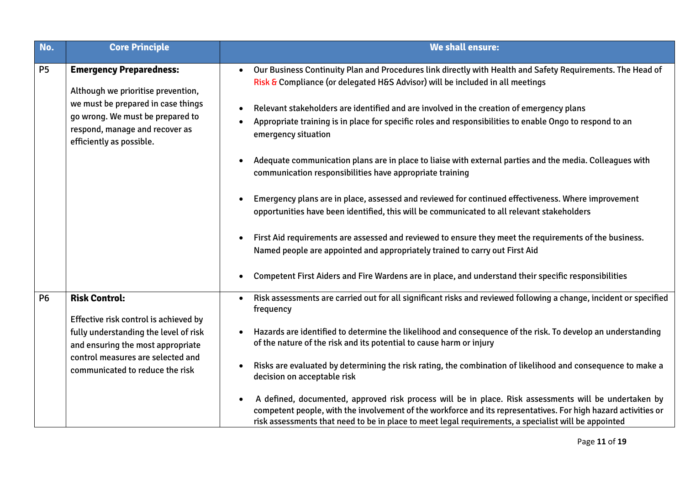| No.            | <b>Core Principle</b>                                                                                                                                                                                               | We shall ensure:                                                                                                                                                                                                                                                                                                                                                                                                                                                                                                                                                                                                                                                                                                                                                                                                                                                                                                                                                                                                                                                                                        |
|----------------|---------------------------------------------------------------------------------------------------------------------------------------------------------------------------------------------------------------------|---------------------------------------------------------------------------------------------------------------------------------------------------------------------------------------------------------------------------------------------------------------------------------------------------------------------------------------------------------------------------------------------------------------------------------------------------------------------------------------------------------------------------------------------------------------------------------------------------------------------------------------------------------------------------------------------------------------------------------------------------------------------------------------------------------------------------------------------------------------------------------------------------------------------------------------------------------------------------------------------------------------------------------------------------------------------------------------------------------|
| P <sub>5</sub> | <b>Emergency Preparedness:</b><br>Although we prioritise prevention,<br>we must be prepared in case things<br>go wrong. We must be prepared to<br>respond, manage and recover as<br>efficiently as possible.        | Our Business Continuity Plan and Procedures link directly with Health and Safety Requirements. The Head of<br>Risk & Compliance (or delegated H&S Advisor) will be included in all meetings<br>Relevant stakeholders are identified and are involved in the creation of emergency plans<br>Appropriate training is in place for specific roles and responsibilities to enable Ongo to respond to an<br>emergency situation<br>Adequate communication plans are in place to liaise with external parties and the media. Colleagues with<br>communication responsibilities have appropriate training<br>Emergency plans are in place, assessed and reviewed for continued effectiveness. Where improvement<br>opportunities have been identified, this will be communicated to all relevant stakeholders<br>First Aid requirements are assessed and reviewed to ensure they meet the requirements of the business.<br>Named people are appointed and appropriately trained to carry out First Aid<br>Competent First Aiders and Fire Wardens are in place, and understand their specific responsibilities |
| <b>P6</b>      | <b>Risk Control:</b><br>Effective risk control is achieved by<br>fully understanding the level of risk<br>and ensuring the most appropriate<br>control measures are selected and<br>communicated to reduce the risk | Risk assessments are carried out for all significant risks and reviewed following a change, incident or specified<br>$\bullet$<br>frequency<br>Hazards are identified to determine the likelihood and consequence of the risk. To develop an understanding<br>of the nature of the risk and its potential to cause harm or injury<br>Risks are evaluated by determining the risk rating, the combination of likelihood and consequence to make a<br>decision on acceptable risk<br>A defined, documented, approved risk process will be in place. Risk assessments will be undertaken by<br>competent people, with the involvement of the workforce and its representatives. For high hazard activities or<br>risk assessments that need to be in place to meet legal requirements, a specialist will be appointed                                                                                                                                                                                                                                                                                      |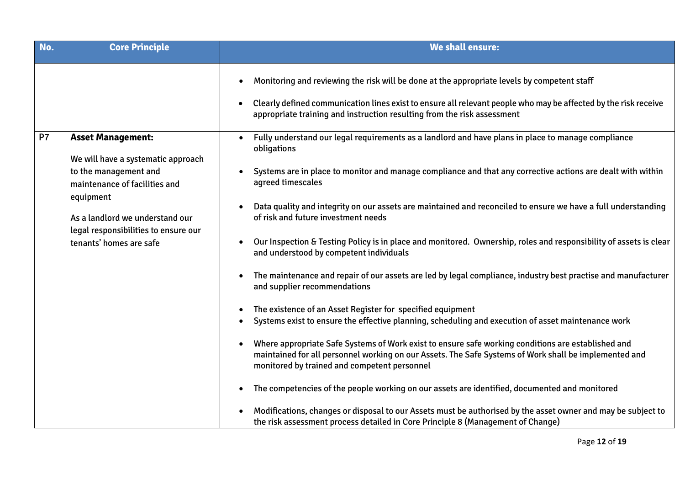| No.       | <b>Core Principle</b>                                                                                                                                                                | <b>We shall ensure:</b>                                                                                                                                                                                                                                                                                                                                                                                                                                                                                                                                         |
|-----------|--------------------------------------------------------------------------------------------------------------------------------------------------------------------------------------|-----------------------------------------------------------------------------------------------------------------------------------------------------------------------------------------------------------------------------------------------------------------------------------------------------------------------------------------------------------------------------------------------------------------------------------------------------------------------------------------------------------------------------------------------------------------|
| <b>P7</b> | <b>Asset Management:</b>                                                                                                                                                             | Monitoring and reviewing the risk will be done at the appropriate levels by competent staff<br>Clearly defined communication lines exist to ensure all relevant people who may be affected by the risk receive<br>appropriate training and instruction resulting from the risk assessment<br>Fully understand our legal requirements as a landlord and have plans in place to manage compliance<br>obligations                                                                                                                                                  |
|           | We will have a systematic approach<br>to the management and<br>maintenance of facilities and<br>equipment<br>As a landlord we understand our<br>legal responsibilities to ensure our | Systems are in place to monitor and manage compliance and that any corrective actions are dealt with within<br>agreed timescales<br>Data quality and integrity on our assets are maintained and reconciled to ensure we have a full understanding<br>of risk and future investment needs                                                                                                                                                                                                                                                                        |
|           | tenants' homes are safe                                                                                                                                                              | Our Inspection & Testing Policy is in place and monitored. Ownership, roles and responsibility of assets is clear<br>and understood by competent individuals<br>The maintenance and repair of our assets are led by legal compliance, industry best practise and manufacturer<br>and supplier recommendations<br>The existence of an Asset Register for specified equipment<br>Systems exist to ensure the effective planning, scheduling and execution of asset maintenance work                                                                               |
|           |                                                                                                                                                                                      | Where appropriate Safe Systems of Work exist to ensure safe working conditions are established and<br>maintained for all personnel working on our Assets. The Safe Systems of Work shall be implemented and<br>monitored by trained and competent personnel<br>The competencies of the people working on our assets are identified, documented and monitored<br>Modifications, changes or disposal to our Assets must be authorised by the asset owner and may be subject to<br>the risk assessment process detailed in Core Principle 8 (Management of Change) |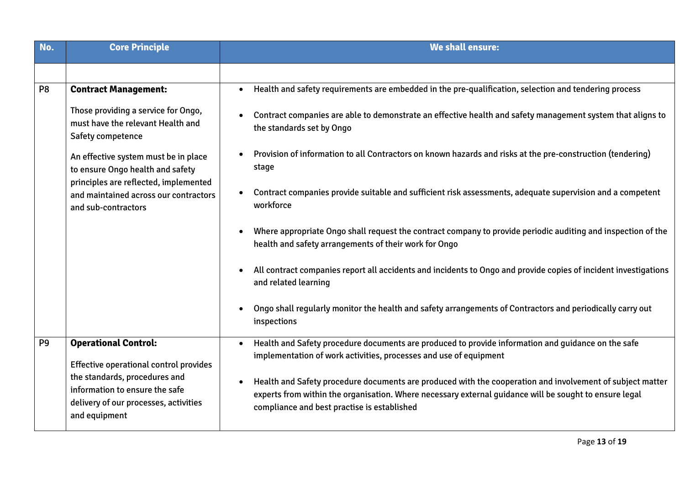| No.            | <b>Core Principle</b>                                                                                                                     | We shall ensure:                                                                                                                                                                                                                                                   |
|----------------|-------------------------------------------------------------------------------------------------------------------------------------------|--------------------------------------------------------------------------------------------------------------------------------------------------------------------------------------------------------------------------------------------------------------------|
| <b>P8</b>      | <b>Contract Management:</b><br>Those providing a service for Ongo,<br>must have the relevant Health and                                   | Health and safety requirements are embedded in the pre-qualification, selection and tendering process<br>$\bullet$<br>Contract companies are able to demonstrate an effective health and safety management system that aligns to                                   |
|                | Safety competence<br>An effective system must be in place                                                                                 | the standards set by Ongo<br>Provision of information to all Contractors on known hazards and risks at the pre-construction (tendering)                                                                                                                            |
|                | to ensure Ongo health and safety<br>principles are reflected, implemented<br>and maintained across our contractors<br>and sub-contractors | stage<br>Contract companies provide suitable and sufficient risk assessments, adequate supervision and a competent<br>workforce                                                                                                                                    |
|                |                                                                                                                                           | Where appropriate Ongo shall request the contract company to provide periodic auditing and inspection of the<br>health and safety arrangements of their work for Ongo                                                                                              |
|                |                                                                                                                                           | All contract companies report all accidents and incidents to Ongo and provide copies of incident investigations<br>and related learning                                                                                                                            |
|                |                                                                                                                                           | Ongo shall regularly monitor the health and safety arrangements of Contractors and periodically carry out<br>inspections                                                                                                                                           |
| P <sub>9</sub> | <b>Operational Control:</b><br>Effective operational control provides                                                                     | Health and Safety procedure documents are produced to provide information and guidance on the safe<br>$\bullet$<br>implementation of work activities, processes and use of equipment                                                                               |
|                | the standards, procedures and<br>information to ensure the safe<br>delivery of our processes, activities<br>and equipment                 | Health and Safety procedure documents are produced with the cooperation and involvement of subject matter<br>experts from within the organisation. Where necessary external guidance will be sought to ensure legal<br>compliance and best practise is established |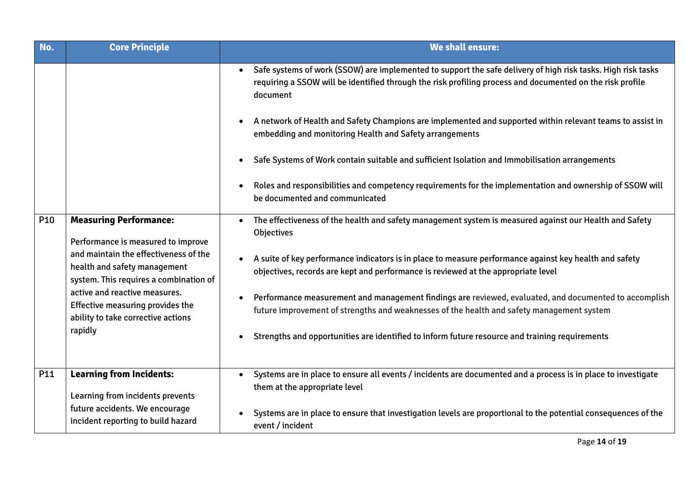| No.             | <b>Core Principle</b>                                                                                           | We shall ensure:                                                                                                                                                                                                                                   |
|-----------------|-----------------------------------------------------------------------------------------------------------------|----------------------------------------------------------------------------------------------------------------------------------------------------------------------------------------------------------------------------------------------------|
|                 |                                                                                                                 | Safe systems of work (SSOW) are implemented to support the safe delivery of high risk tasks. High risk tasks<br>$\bullet$<br>requiring a SSOW will be identified through the risk profiling process and documented on the risk profile<br>document |
|                 |                                                                                                                 | A network of Health and Safety Champions are implemented and supported within relevant teams to assist in<br>embedding and monitoring Health and Safety arrangements                                                                               |
|                 |                                                                                                                 | Safe Systems of Work contain suitable and sufficient Isolation and Immobilisation arrangements                                                                                                                                                     |
|                 |                                                                                                                 | Roles and responsibilities and competency requirements for the implementation and ownership of SSOW will<br>be documented and communicated                                                                                                         |
| P <sub>10</sub> | <b>Measuring Performance:</b><br>Performance is measured to improve                                             | The effectiveness of the health and safety management system is measured against our Health and Safety<br>Objectives                                                                                                                               |
|                 | and maintain the effectiveness of the<br>health and safety management<br>system. This requires a combination of | A suite of key performance indicators is in place to measure performance against key health and safety<br>objectives, records are kept and performance is reviewed at the appropriate level                                                        |
|                 | active and reactive measures.<br>Effective measuring provides the<br>ability to take corrective actions         | Performance measurement and management findings are reviewed, evaluated, and documented to accomplish<br>future improvement of strengths and weaknesses of the health and safety management system                                                 |
|                 | rapidly                                                                                                         | Strengths and opportunities are identified to inform future resource and training requirements                                                                                                                                                     |
| P11             | <b>Learning from Incidents:</b><br>Learning from incidents prevents                                             | Systems are in place to ensure all events / incidents are documented and a process is in place to investigate<br>them at the appropriate level                                                                                                     |
|                 | future accidents. We encourage<br>incident reporting to build hazard                                            | Systems are in place to ensure that investigation levels are proportional to the potential consequences of the<br>event / incident                                                                                                                 |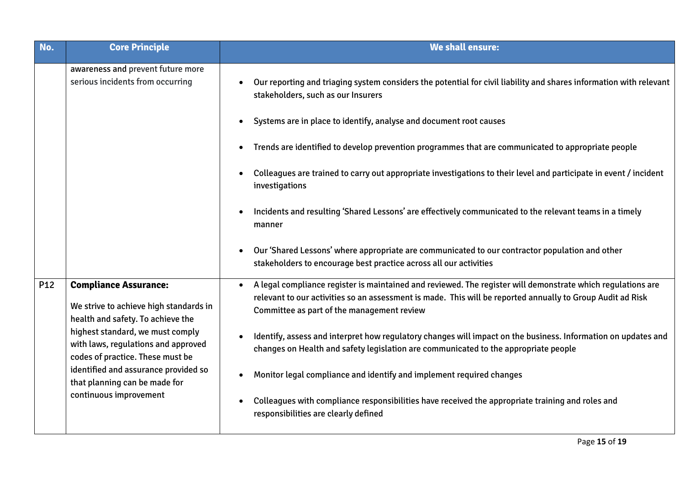| No.             | <b>Core Principle</b>                                                                                       | We shall ensure:                                                                                                                                                                                     |
|-----------------|-------------------------------------------------------------------------------------------------------------|------------------------------------------------------------------------------------------------------------------------------------------------------------------------------------------------------|
|                 | awareness and prevent future more<br>serious incidents from occurring                                       | Our reporting and triaging system considers the potential for civil liability and shares information with relevant<br>stakeholders, such as our Insurers                                             |
|                 |                                                                                                             | Systems are in place to identify, analyse and document root causes                                                                                                                                   |
|                 |                                                                                                             | Trends are identified to develop prevention programmes that are communicated to appropriate people                                                                                                   |
|                 |                                                                                                             | Colleagues are trained to carry out appropriate investigations to their level and participate in event / incident<br>investigations                                                                  |
|                 |                                                                                                             | Incidents and resulting 'Shared Lessons' are effectively communicated to the relevant teams in a timely<br>manner                                                                                    |
|                 |                                                                                                             | Our 'Shared Lessons' where appropriate are communicated to our contractor population and other<br>stakeholders to encourage best practice across all our activities                                  |
| P <sub>12</sub> | <b>Compliance Assurance:</b>                                                                                | A legal compliance register is maintained and reviewed. The register will demonstrate which regulations are<br>$\bullet$                                                                             |
|                 | We strive to achieve high standards in<br>health and safety. To achieve the                                 | relevant to our activities so an assessment is made. This will be reported annually to Group Audit ad Risk<br>Committee as part of the management review                                             |
|                 | highest standard, we must comply<br>with laws, regulations and approved<br>codes of practice. These must be | Identify, assess and interpret how regulatory changes will impact on the business. Information on updates and<br>changes on Health and safety legislation are communicated to the appropriate people |
|                 | identified and assurance provided so<br>that planning can be made for                                       | Monitor legal compliance and identify and implement required changes                                                                                                                                 |
|                 | continuous improvement                                                                                      | Colleagues with compliance responsibilities have received the appropriate training and roles and<br>responsibilities are clearly defined                                                             |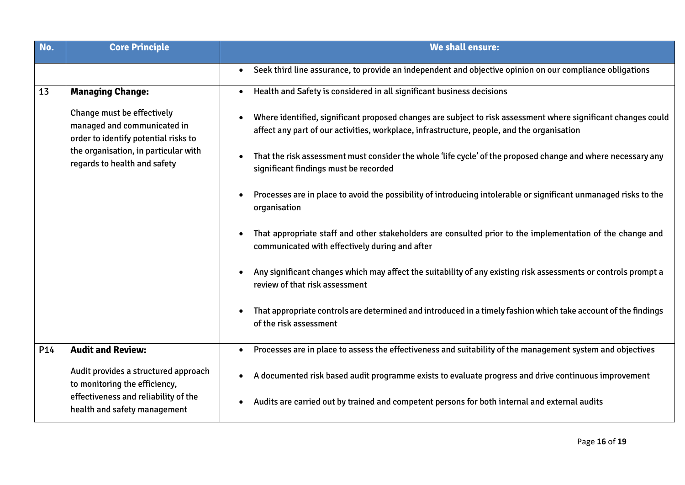| No. | <b>Core Principle</b>                                                                                                                                                     | <b>We shall ensure:</b>                                                                                                                                                                                     |
|-----|---------------------------------------------------------------------------------------------------------------------------------------------------------------------------|-------------------------------------------------------------------------------------------------------------------------------------------------------------------------------------------------------------|
|     |                                                                                                                                                                           | Seek third line assurance, to provide an independent and objective opinion on our compliance obligations                                                                                                    |
| 13  | <b>Managing Change:</b>                                                                                                                                                   | Health and Safety is considered in all significant business decisions<br>$\bullet$                                                                                                                          |
|     | Change must be effectively<br>managed and communicated in<br>order to identify potential risks to<br>the organisation, in particular with<br>regards to health and safety | Where identified, significant proposed changes are subject to risk assessment where significant changes could<br>affect any part of our activities, workplace, infrastructure, people, and the organisation |
|     |                                                                                                                                                                           | That the risk assessment must consider the whole 'life cycle' of the proposed change and where necessary any<br>significant findings must be recorded                                                       |
|     |                                                                                                                                                                           | Processes are in place to avoid the possibility of introducing intolerable or significant unmanaged risks to the<br>organisation                                                                            |
|     |                                                                                                                                                                           | That appropriate staff and other stakeholders are consulted prior to the implementation of the change and<br>communicated with effectively during and after                                                 |
|     |                                                                                                                                                                           | Any significant changes which may affect the suitability of any existing risk assessments or controls prompt a<br>review of that risk assessment                                                            |
|     |                                                                                                                                                                           | That appropriate controls are determined and introduced in a timely fashion which take account of the findings<br>of the risk assessment                                                                    |
| P14 | <b>Audit and Review:</b>                                                                                                                                                  | Processes are in place to assess the effectiveness and suitability of the management system and objectives<br>$\bullet$                                                                                     |
|     | Audit provides a structured approach<br>to monitoring the efficiency,                                                                                                     | A documented risk based audit programme exists to evaluate progress and drive continuous improvement                                                                                                        |
|     | effectiveness and reliability of the<br>health and safety management                                                                                                      | Audits are carried out by trained and competent persons for both internal and external audits                                                                                                               |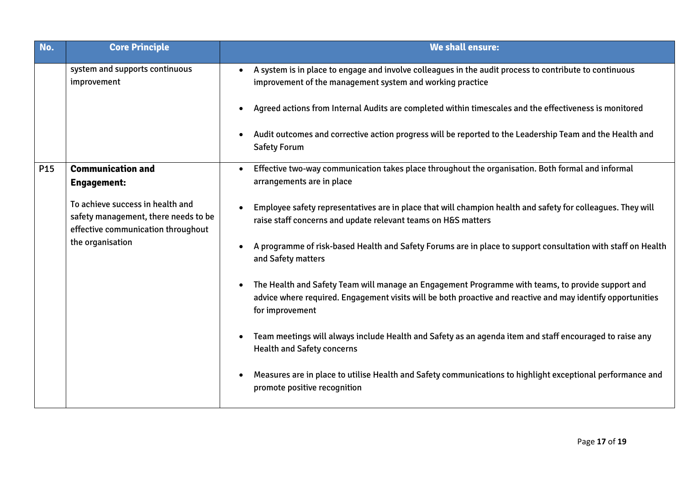| No.             | <b>Core Principle</b>                                                                                          | We shall ensure:                                                                                                                                                                                                                    |
|-----------------|----------------------------------------------------------------------------------------------------------------|-------------------------------------------------------------------------------------------------------------------------------------------------------------------------------------------------------------------------------------|
|                 | system and supports continuous<br>improvement                                                                  | A system is in place to engage and involve colleagues in the audit process to contribute to continuous<br>improvement of the management system and working practice                                                                 |
|                 |                                                                                                                | Agreed actions from Internal Audits are completed within timescales and the effectiveness is monitored                                                                                                                              |
|                 |                                                                                                                | Audit outcomes and corrective action progress will be reported to the Leadership Team and the Health and<br><b>Safety Forum</b>                                                                                                     |
| P <sub>15</sub> | <b>Communication and</b><br><b>Engagement:</b>                                                                 | Effective two-way communication takes place throughout the organisation. Both formal and informal<br>$\bullet$<br>arrangements are in place                                                                                         |
|                 | To achieve success in health and<br>safety management, there needs to be<br>effective communication throughout | Employee safety representatives are in place that will champion health and safety for colleagues. They will<br>raise staff concerns and update relevant teams on H&S matters                                                        |
|                 | the organisation                                                                                               | A programme of risk-based Health and Safety Forums are in place to support consultation with staff on Health<br>and Safety matters                                                                                                  |
|                 |                                                                                                                | The Health and Safety Team will manage an Engagement Programme with teams, to provide support and<br>advice where required. Engagement visits will be both proactive and reactive and may identify opportunities<br>for improvement |
|                 |                                                                                                                | Team meetings will always include Health and Safety as an agenda item and staff encouraged to raise any<br><b>Health and Safety concerns</b>                                                                                        |
|                 |                                                                                                                | Measures are in place to utilise Health and Safety communications to highlight exceptional performance and<br>promote positive recognition                                                                                          |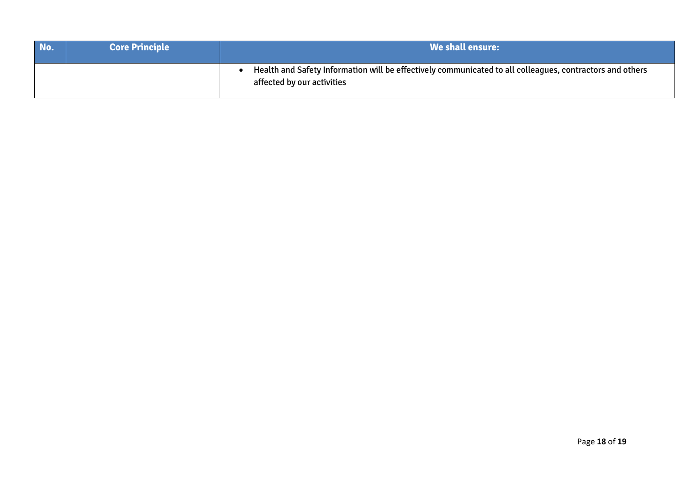| No. | Core Principle | We shall ensure:                                                                                                                       |
|-----|----------------|----------------------------------------------------------------------------------------------------------------------------------------|
|     |                | Health and Safety Information will be effectively communicated to all colleagues, contractors and others<br>affected by our activities |